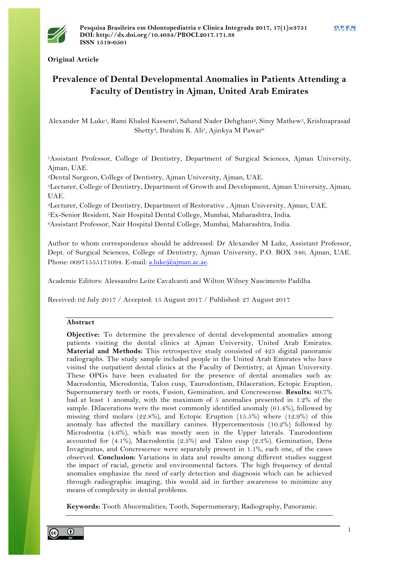

**Original Article**

# **Prevalence of Dental Developmental Anomalies in Patients Attending a Faculty of Dentistry in Ajman, United Arab Emirates**

Alexander M Luke<sup>1</sup>, Rami Khaled Kassem<sup>2</sup>, Sahand Nader Dehghani<sup>2</sup>, Simy Mathew<sup>3</sup>, Krishnaprasad Shetty<sup>4</sup>, Ibrahim K. Ali<sup>5</sup>, Ajinkya M Pawar<sup>6</sup>

1Assistant Professor, College of Dentistry, Department of Surgical Sciences, Ajman University, Ajman, UAE.

2Dental Surgeon, College of Dentistry, Ajman University, Ajman, UAE.

3Lecturer, College of Dentistry, Department of Growth and Development, Ajman University, Ajman, UAE.

4Lecturer, College of Dentistry, Department of Restorative , Ajman University, Ajman, UAE.

5Ex-Senior Resident, Nair Hospital Dental College, Mumbai, Maharashtra, India.

6Assistant Professor, Nair Hospital Dental College, Mumbai, Maharashtra, India.

Author to whom correspondence should be addressed: Dr Alexander M Luke, Assistant Professor, Dept. of Surgical Sciences, College of Dentistry, Ajman University, P.O. BOX 346, Ajman, UAE. Phone: 00971555171094. E-mail: a.luke@ajman.ac.ae.

Academic Editors: Alessandro Leite Cavalcanti and Wilton Wilney Nascimento Padilha

Received: 02 July 2017 / Accepted: 15 August 2017 / Published: 27 August 2017

## **Abstract**

**Objective:** To determine the prevalence of dental developmental anomalies among patients visiting the dental clinics at Ajman University, United Arab Emirates. **Material and Methods:** This retrospective study consisted of 425 digital panoramic radiographs. The study sample included people in the United Arab Emirates who have visited the outpatient dental clinics at the Faculty of Dentistry, at Ajman University. These OPGs have been evaluated for the presence of dental anomalies such as: Macrodontia, Microdontia, Talon cusp, Taurodontism, Dilaceration, Ectopic Eruption, Supernumerary teeth or roots, Fusion, Gemination, and Concrescense. **Results:** 80.7% had at least 1 anomaly, with the maximum of 5 anomalies presented in 1.2% of the sample. Dilacerations were the most commonly identified anomaly (61.4%), followed by missing third molars (22.8%), and Ectopic Eruption (15.5%) where (12.9%) of this anomaly has affected the maxillary canines. Hypercementosis (10.2%) followed by Microdontia (4.6%), which was mostly seen in the Upper laterals. Taurodontism accounted for (4.1%), Macrodontia (2.3%) and Talon cusp (2.3%). Gemination, Dens Invaginatus, and Concrescence were separately present in 1.1%, each one, of the cases observed. **Conclusion:** Variations in data and results among different studies suggest the impact of racial, genetic and environmental factors. The high frequency of dental anomalies emphasize the need of early detection and diagnosis which can be achieved through radiographic imaging, this would aid in further awareness to minimize any means of complexity in dental problems.

**Keywords:** Tooth Abnormalities; Tooth, Supernumerary; Radiography, Panoramic.

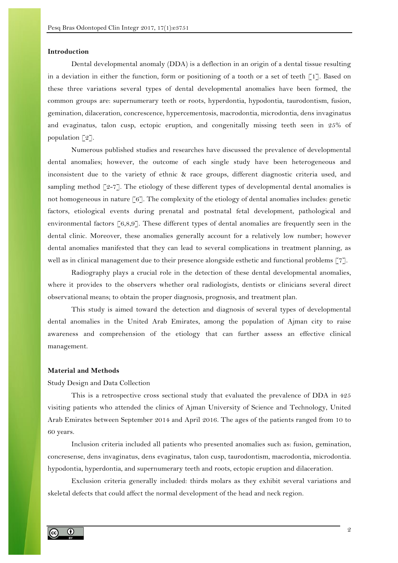### **Introduction**

Dental developmental anomaly (DDA) is a deflection in an origin of a dental tissue resulting in a deviation in either the function, form or positioning of a tooth or a set of teeth [1]. Based on these three variations several types of dental developmental anomalies have been formed, the common groups are: supernumerary teeth or roots, hyperdontia, hypodontia, taurodontism, fusion, gemination, dilaceration, concrescence, hypercementosis, macrodontia, microdontia, dens invaginatus and evaginatus, talon cusp, ectopic eruption, and congenitally missing teeth seen in 25% of population  $\lceil 2 \rceil$ .

Numerous published studies and researches have discussed the prevalence of developmental dental anomalies; however, the outcome of each single study have been heterogeneous and inconsistent due to the variety of ethnic & race groups, different diagnostic criteria used, and sampling method  $\lceil 2-7 \rceil$ . The etiology of these different types of developmental dental anomalies is not homogeneous in nature [6]. The complexity of the etiology of dental anomalies includes: genetic factors, etiological events during prenatal and postnatal fetal development, pathological and environmental factors  $\lceil 6,8,9 \rceil$ . These different types of dental anomalies are frequently seen in the dental clinic. Moreover, these anomalies generally account for a relatively low number; however dental anomalies manifested that they can lead to several complications in treatment planning, as well as in clinical management due to their presence alongside esthetic and functional problems [7].

Radiography plays a crucial role in the detection of these dental developmental anomalies, where it provides to the observers whether oral radiologists, dentists or clinicians several direct observational means; to obtain the proper diagnosis, prognosis, and treatment plan.

This study is aimed toward the detection and diagnosis of several types of developmental dental anomalies in the United Arab Emirates, among the population of Ajman city to raise awareness and comprehension of the etiology that can further assess an effective clinical management.

## **Material and Methods**

#### Study Design and Data Collection

This is a retrospective cross sectional study that evaluated the prevalence of DDA in 425 visiting patients who attended the clinics of Ajman University of Science and Technology, United Arab Emirates between September 2014 and April 2016. The ages of the patients ranged from 10 to 60 years.

Inclusion criteria included all patients who presented anomalies such as: fusion, gemination, concresense, dens invaginatus, dens evaginatus, talon cusp, taurodontism, macrodontia, microdontia. hypodontia, hyperdontia, and supernumerary teeth and roots, ectopic eruption and dilaceration.

Exclusion criteria generally included: thirds molars as they exhibit several variations and skeletal defects that could affect the normal development of the head and neck region.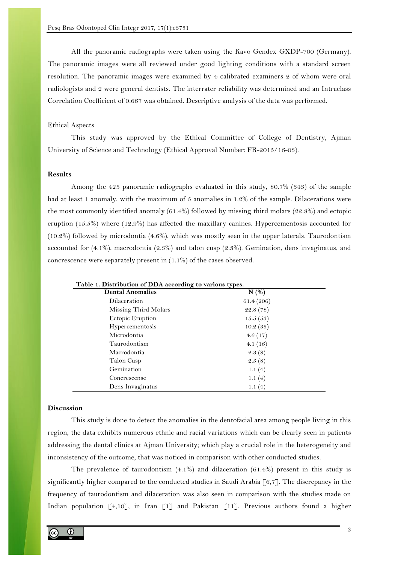All the panoramic radiographs were taken using the Kavo Gendex GXDP-700 (Germany). The panoramic images were all reviewed under good lighting conditions with a standard screen resolution. The panoramic images were examined by 4 calibrated examiners 2 of whom were oral radiologists and 2 were general dentists. The interrater reliability was determined and an Intraclass Correlation Coefficient of 0.667 was obtained. Descriptive analysis of the data was performed.

### Ethical Aspects

This study was approved by the Ethical Committee of College of Dentistry, Ajman University of Science and Technology (Ethical Approval Number: FR-2015/16-03).

## **Results**

Among the 425 panoramic radiographs evaluated in this study, 80.7% (343) of the sample had at least 1 anomaly, with the maximum of 5 anomalies in 1.2% of the sample. Dilacerations were the most commonly identified anomaly (61.4%) followed by missing third molars (22.8%) and ectopic eruption (15.5%) where (12.9%) has affected the maxillary canines. Hypercementosis accounted for (10.2%) followed by microdontia (4.6%), which was mostly seen in the upper laterals. Taurodontism accounted for (4.1%), macrodontia (2.3%) and talon cusp (2.3%). Gemination, dens invaginatus, and concrescence were separately present in (1.1%) of the cases observed.

| <b>Dental Anomalies</b> | N(%)      |  |
|-------------------------|-----------|--|
| Dilaceration            | 61.4(206) |  |
| Missing Third Molars    | 22.8(78)  |  |
| Ectopic Eruption        | 15.5(53)  |  |
| Hypercementosis         | 10.2(35)  |  |
| Microdontia             | 4.6(17)   |  |
| Taurodontism            | 4.1(16)   |  |
| Macrodontia             | 2.3(8)    |  |
| Talon Cusp              | 2.3(8)    |  |
| Gemination              | 1.1(4)    |  |
| Concrescense            | 1.1(4)    |  |
| Dens Invaginatus        | 1.1(4)    |  |

**Table 1. Distribution of DDA according to various types.**

## **Discussion**

This study is done to detect the anomalies in the dentofacial area among people living in this region, the data exhibits numerous ethnic and racial variations which can be clearly seen in patients addressing the dental clinics at Ajman University; which play a crucial role in the heterogeneity and inconsistency of the outcome, that was noticed in comparison with other conducted studies.

The prevalence of taurodontism (4.1%) and dilaceration (61.4%) present in this study is significantly higher compared to the conducted studies in Saudi Arabia  $\lceil 6, 7 \rceil$ . The discrepancy in the frequency of taurodontism and dilaceration was also seen in comparison with the studies made on Indian population [4,10], in Iran [1] and Pakistan [11]. Previous authors found a higher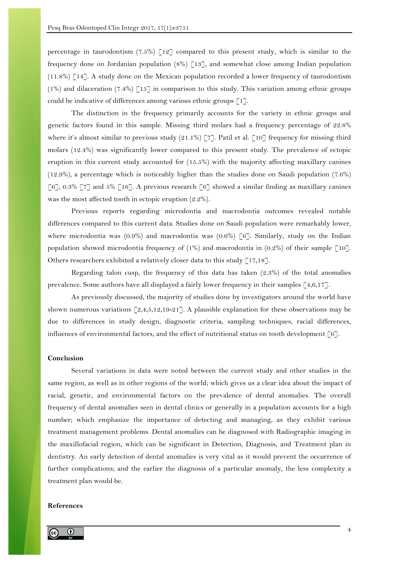percentage in taurodontism  $(7.5\%)$  [12] compared to this present study, which is similar to the frequency done on Jordanian population  $(8\%)$  [13], and somewhat close among Indian population (11.8%) [14]. A study done on the Mexican population recorded a lower frequency of taurodontism  $(1\%)$  and dilaceration  $(7.4\%)$  [15] in comparison to this study. This variation among ethnic groups could be indicative of differences among various ethnic groups [1].

The distinction in the frequency primarily accounts for the variety in ethnic groups and genetic factors found in this sample. Missing third molars had a frequency percentage of 22.8% where it's almost similar to previous study (21.1%) [7]. Patil et al. [10] frequency for missing third molars (12.4%) was significantly lower compared to this present study. The prevalence of ectopic eruption in this current study accounted for (15.5%) with the majority affecting maxillary canines (12.9%), a percentage which is noticeably higher than the studies done on Saudi population (7.6%) [6], 0.3% [7] and 5% [16]. A previous research [6] showed a similar finding as maxillary canines was the most affected tooth in ectopic eruption (2.2%).

Previous reports regarding microdontia and macrodontia outcomes revealed notable differences compared to this current data. Studies done on Saudi population were remarkably lower, where microdontia was  $(0.9\%)$  and macrodontia was  $(0.6\%)$  [6]. Similarly, study on the Indian population showed microdontia frequency of  $(1\%)$  and macrodontia in  $(0.2\%)$  of their sample [10]. Others researchers exhibited a relatively closer data to this study [17,18].

Regarding talon cusp, the frequency of this data has taken (2.3%) of the total anomalies prevalence. Some authors have all displayed a fairly lower frequency in their samples [4,6,17].

As previously discussed, the majority of studies done by investigators around the world have shown numerous variations [2,4,5,12,19-21]. A plausible explanation for these observations may be due to differences in study design, diagnostic criteria, sampling techniques, racial differences, influences of environmental factors, and the effect of nutritional status on tooth development  $\lceil 6 \rceil$ .

### **Conclusion**

Several variations in data were noted between the current study and other studies in the same region, as well as in other regions of the world; which gives us a clear idea about the impact of racial, genetic, and environmental factors on the prevalence of dental anomalies. The overall frequency of dental anomalies seen in dental clinics or generally in a population accounts for a high number; which emphasize the importance of detecting and managing, as they exhibit various treatment management problems. Dental anomalies can be diagnosed with Radiographic imaging in the maxillofacial region, which can be significant in Detection, Diagnosis, and Treatment plan in dentistry. An early detection of dental anomalies is very vital as it would prevent the occurrence of further complications; and the earlier the diagnosis of a particular anomaly, the less complexity a treatment plan would be.

#### **References**